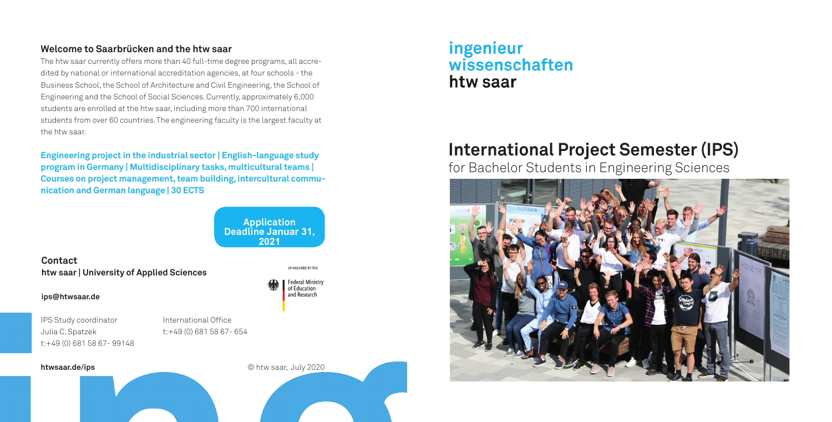## **Welcome to Saarbrücken and the htw saar**

The htw saar currently offers more than 40 full-time degree programs, all accredited by national or international accreditation agencies, at four schools - the Business School, the School of Architecture and Civil Engineering, the School of Engineering and the School of Social Sciences. Currently, approximately 6,000 students are enrolled at the htw saar, including more than 700 international students from over 60 countries. The engineering faculty is the largest faculty at the htw saar.

**Engineering project in the industrial sector | English-language study program in Germany | Multidisciplinary tasks, multicultural teams | Courses on project management, team building, intercultural communication and German language | 30 ECTS** 

> **Application Deadline Januar 31, 2021**

**Contact htw saar | University of Applied Sciences**

**ips@htwsaar.de**

IPS Study coordinator Julia C. Spatzek t:+49 (0) 681 58 67- 99148 International Office t:+49 (0) 681 58 67- 654

**htwsaar.de/ips**



SPONSORED BY THE **Federal Ministry** of Education and Research

# ingenieur wissenschaften htw saar

# **International Project Semester (IPS)**

for Bachelor Students in Engineering Sciences